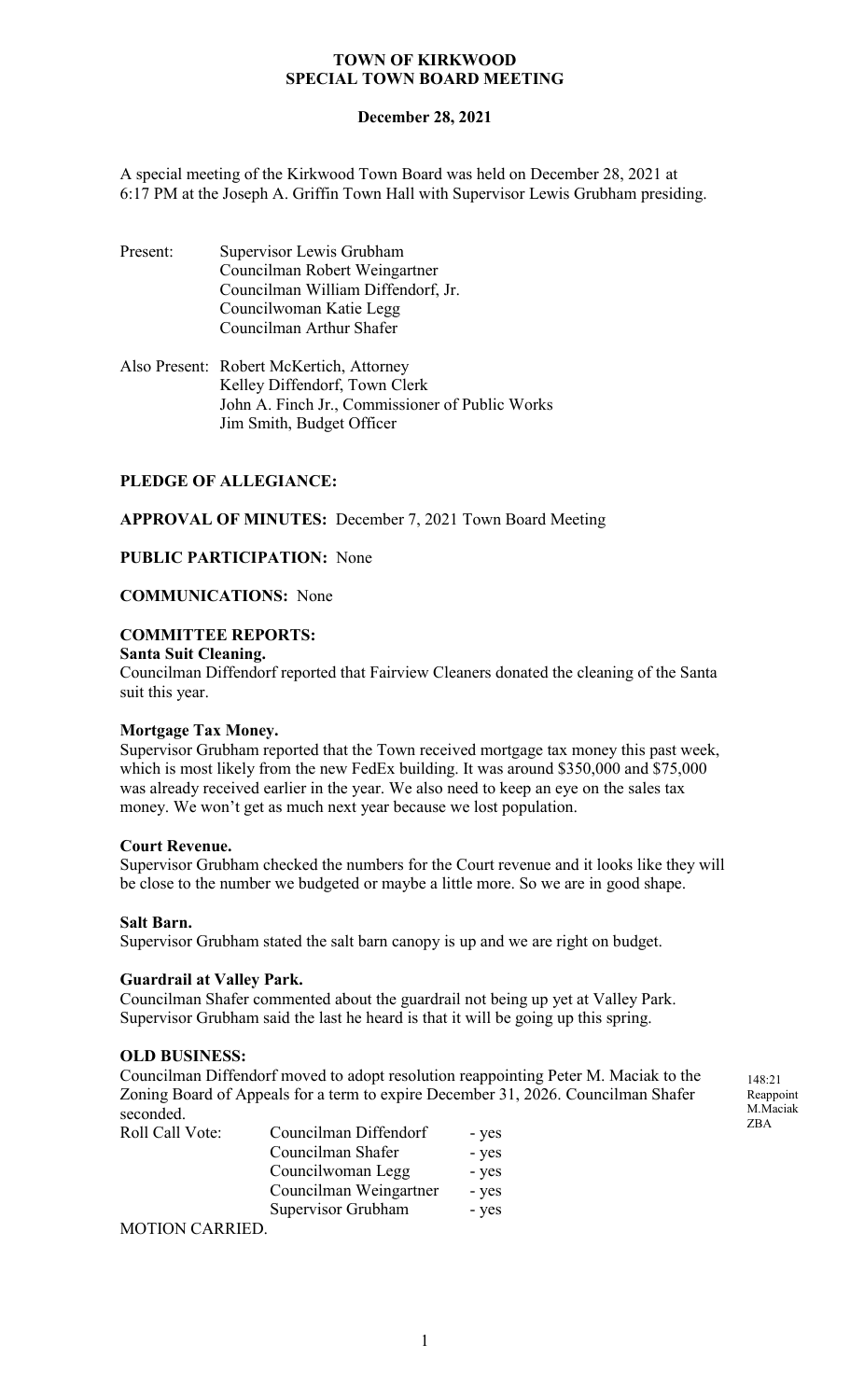## **December 28, 2021**

A special meeting of the Kirkwood Town Board was held on December 28, 2021 at 6:17 PM at the Joseph A. Griffin Town Hall with Supervisor Lewis Grubham presiding.

- Present: Supervisor Lewis Grubham Councilman Robert Weingartner Councilman William Diffendorf, Jr. Councilwoman Katie Legg Councilman Arthur Shafer
- Also Present: Robert McKertich, Attorney Kelley Diffendorf, Town Clerk John A. Finch Jr., Commissioner of Public Works Jim Smith, Budget Officer

## **PLEDGE OF ALLEGIANCE:**

**APPROVAL OF MINUTES:** December 7, 2021 Town Board Meeting

## **PUBLIC PARTICIPATION:** None

### **COMMUNICATIONS:** None

#### **COMMITTEE REPORTS:**

#### **Santa Suit Cleaning.**

Councilman Diffendorf reported that Fairview Cleaners donated the cleaning of the Santa suit this year.

#### **Mortgage Tax Money.**

Supervisor Grubham reported that the Town received mortgage tax money this past week, which is most likely from the new FedEx building. It was around \$350,000 and \$75,000 was already received earlier in the year. We also need to keep an eye on the sales tax money. We won't get as much next year because we lost population.

### **Court Revenue.**

Supervisor Grubham checked the numbers for the Court revenue and it looks like they will be close to the number we budgeted or maybe a little more. So we are in good shape.

#### **Salt Barn.**

Supervisor Grubham stated the salt barn canopy is up and we are right on budget.

#### **Guardrail at Valley Park.**

Councilman Shafer commented about the guardrail not being up yet at Valley Park. Supervisor Grubham said the last he heard is that it will be going up this spring.

#### **OLD BUSINESS:**

Councilman Diffendorf moved to adopt resolution reappointing Peter M. Maciak to the Zoning Board of Appeals for a term to expire December 31, 2026. Councilman Shafer seconded.

| Roll Call Vote: | Councilman Diffendorf  | - yes |
|-----------------|------------------------|-------|
|                 | Councilman Shafer      | - yes |
|                 | Councilwoman Legg      | - yes |
|                 | Councilman Weingartner | - yes |
|                 | Supervisor Grubham     | - yes |

MOTION CARRIED.

148:21 Reappoint M.Maciak ZBA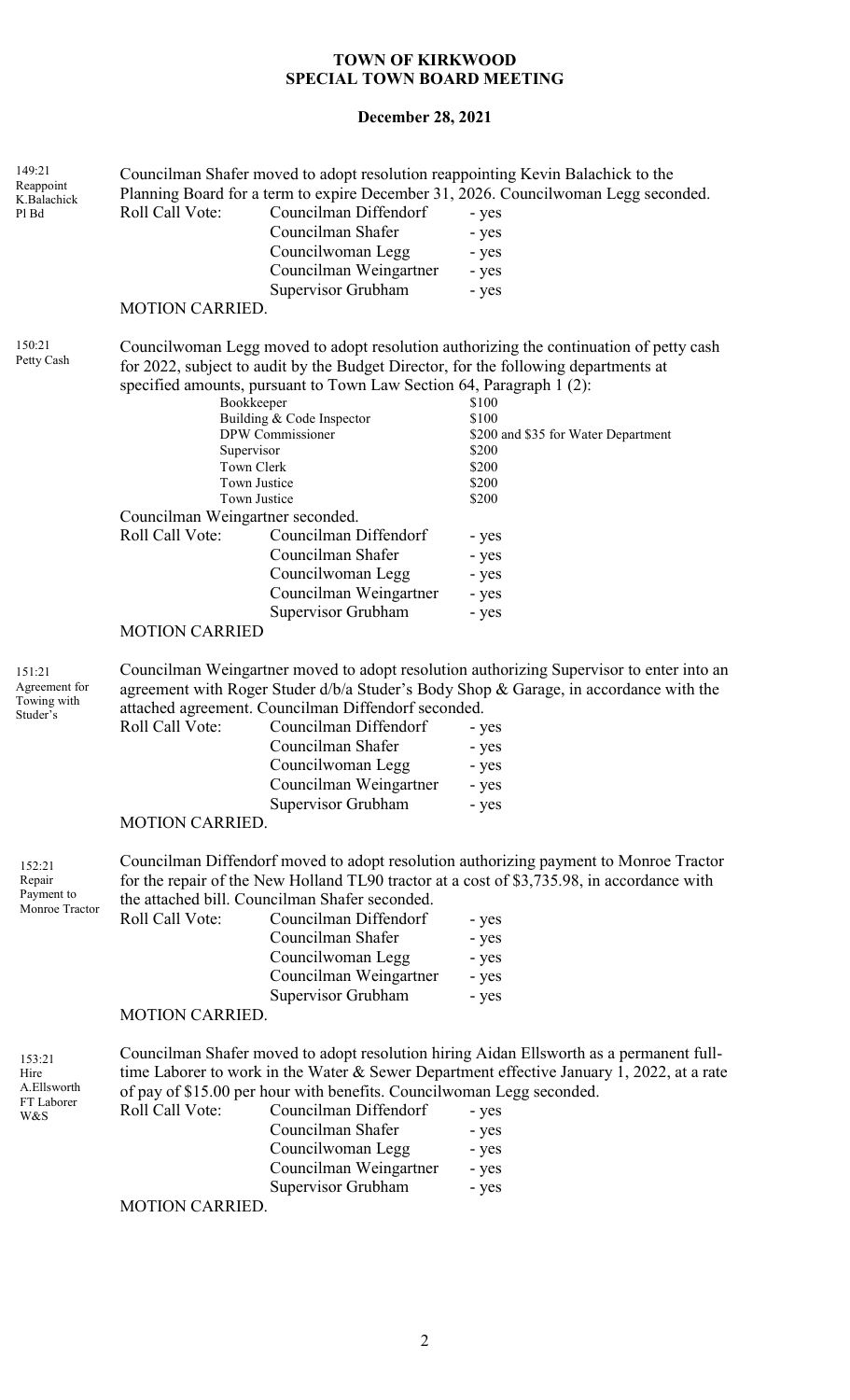# **December 28, 2021**

| 149:21<br>Reappoint<br>K.Balachick                 | Councilman Shafer moved to adopt resolution reappointing Kevin Balachick to the<br>Planning Board for a term to expire December 31, 2026. Councilwoman Legg seconded.                                                                                         |                                                                                                                                                                        |                                                                                                                                                                                                                                |
|----------------------------------------------------|---------------------------------------------------------------------------------------------------------------------------------------------------------------------------------------------------------------------------------------------------------------|------------------------------------------------------------------------------------------------------------------------------------------------------------------------|--------------------------------------------------------------------------------------------------------------------------------------------------------------------------------------------------------------------------------|
| Pl Bd                                              | Roll Call Vote:                                                                                                                                                                                                                                               | Councilman Diffendorf                                                                                                                                                  | - yes                                                                                                                                                                                                                          |
|                                                    |                                                                                                                                                                                                                                                               | Councilman Shafer                                                                                                                                                      | - yes                                                                                                                                                                                                                          |
|                                                    |                                                                                                                                                                                                                                                               | Councilwoman Legg                                                                                                                                                      | - yes                                                                                                                                                                                                                          |
|                                                    |                                                                                                                                                                                                                                                               | Councilman Weingartner                                                                                                                                                 | - yes                                                                                                                                                                                                                          |
|                                                    | <b>MOTION CARRIED.</b>                                                                                                                                                                                                                                        | Supervisor Grubham                                                                                                                                                     | - yes                                                                                                                                                                                                                          |
|                                                    |                                                                                                                                                                                                                                                               |                                                                                                                                                                        |                                                                                                                                                                                                                                |
| 150:21<br>Petty Cash                               |                                                                                                                                                                                                                                                               | specified amounts, pursuant to Town Law Section 64, Paragraph 1 (2):                                                                                                   | Councilwoman Legg moved to adopt resolution authorizing the continuation of petty cash<br>for 2022, subject to audit by the Budget Director, for the following departments at                                                  |
|                                                    | Bookkeeper                                                                                                                                                                                                                                                    |                                                                                                                                                                        | \$100                                                                                                                                                                                                                          |
|                                                    | Building & Code Inspector<br>DPW Commissioner                                                                                                                                                                                                                 |                                                                                                                                                                        | \$100<br>\$200 and \$35 for Water Department                                                                                                                                                                                   |
|                                                    | Supervisor                                                                                                                                                                                                                                                    |                                                                                                                                                                        | \$200                                                                                                                                                                                                                          |
|                                                    | Town Clerk                                                                                                                                                                                                                                                    |                                                                                                                                                                        | \$200                                                                                                                                                                                                                          |
|                                                    | Town Justice                                                                                                                                                                                                                                                  |                                                                                                                                                                        | \$200                                                                                                                                                                                                                          |
|                                                    | Town Justice                                                                                                                                                                                                                                                  |                                                                                                                                                                        | \$200                                                                                                                                                                                                                          |
|                                                    | Councilman Weingartner seconded.<br>Roll Call Vote:                                                                                                                                                                                                           |                                                                                                                                                                        |                                                                                                                                                                                                                                |
|                                                    |                                                                                                                                                                                                                                                               | Councilman Diffendorf                                                                                                                                                  | - yes                                                                                                                                                                                                                          |
|                                                    |                                                                                                                                                                                                                                                               | Councilman Shafer                                                                                                                                                      | - yes                                                                                                                                                                                                                          |
|                                                    |                                                                                                                                                                                                                                                               | Councilwoman Legg                                                                                                                                                      | - yes                                                                                                                                                                                                                          |
|                                                    |                                                                                                                                                                                                                                                               | Councilman Weingartner                                                                                                                                                 | - yes                                                                                                                                                                                                                          |
|                                                    | <b>MOTION CARRIED</b>                                                                                                                                                                                                                                         | Supervisor Grubham                                                                                                                                                     | - yes                                                                                                                                                                                                                          |
| 151:21<br>Agreement for<br>Towing with<br>Studer's | Roll Call Vote:<br><b>MOTION CARRIED.</b>                                                                                                                                                                                                                     | attached agreement. Councilman Diffendorf seconded.<br>Councilman Diffendorf<br>Councilman Shafer<br>Councilwoman Legg<br>Councilman Weingartner<br>Supervisor Grubham | Councilman Weingartner moved to adopt resolution authorizing Supervisor to enter into an<br>agreement with Roger Studer d/b/a Studer's Body Shop & Garage, in accordance with the<br>- yes<br>- yes<br>- yes<br>- yes<br>- yes |
|                                                    |                                                                                                                                                                                                                                                               |                                                                                                                                                                        | Councilman Diffendorf moved to adopt resolution authorizing payment to Monroe Tractor                                                                                                                                          |
| 152:21<br>Repair                                   |                                                                                                                                                                                                                                                               |                                                                                                                                                                        | for the repair of the New Holland TL90 tractor at a cost of \$3,735.98, in accordance with                                                                                                                                     |
| Payment to                                         |                                                                                                                                                                                                                                                               | the attached bill. Councilman Shafer seconded.                                                                                                                         |                                                                                                                                                                                                                                |
| Monroe Tractor                                     | Roll Call Vote:                                                                                                                                                                                                                                               | Councilman Diffendorf                                                                                                                                                  | - yes                                                                                                                                                                                                                          |
|                                                    |                                                                                                                                                                                                                                                               | Councilman Shafer                                                                                                                                                      | - yes                                                                                                                                                                                                                          |
|                                                    |                                                                                                                                                                                                                                                               | Councilwoman Legg                                                                                                                                                      | - yes                                                                                                                                                                                                                          |
|                                                    |                                                                                                                                                                                                                                                               | Councilman Weingartner                                                                                                                                                 | - yes                                                                                                                                                                                                                          |
|                                                    |                                                                                                                                                                                                                                                               | Supervisor Grubham                                                                                                                                                     | - yes                                                                                                                                                                                                                          |
|                                                    | <b>MOTION CARRIED.</b>                                                                                                                                                                                                                                        |                                                                                                                                                                        |                                                                                                                                                                                                                                |
| 153:21<br>Hire<br>A.Ellsworth<br>FT Laborer        | Councilman Shafer moved to adopt resolution hiring Aidan Ellsworth as a permanent full-<br>time Laborer to work in the Water & Sewer Department effective January 1, 2022, at a rate<br>of pay of \$15.00 per hour with benefits. Councilwoman Legg seconded. |                                                                                                                                                                        |                                                                                                                                                                                                                                |
| W&S                                                | Roll Call Vote:                                                                                                                                                                                                                                               | Councilman Diffendorf                                                                                                                                                  | - yes                                                                                                                                                                                                                          |
|                                                    |                                                                                                                                                                                                                                                               | Councilman Shafer                                                                                                                                                      | - yes                                                                                                                                                                                                                          |
|                                                    |                                                                                                                                                                                                                                                               | Councilwoman Legg                                                                                                                                                      | - yes                                                                                                                                                                                                                          |
|                                                    |                                                                                                                                                                                                                                                               | Councilman Weingartner                                                                                                                                                 | - yes                                                                                                                                                                                                                          |
|                                                    |                                                                                                                                                                                                                                                               | Supervisor Grubham                                                                                                                                                     | - yes                                                                                                                                                                                                                          |
|                                                    | <b>MOTION CARRIED.</b>                                                                                                                                                                                                                                        |                                                                                                                                                                        |                                                                                                                                                                                                                                |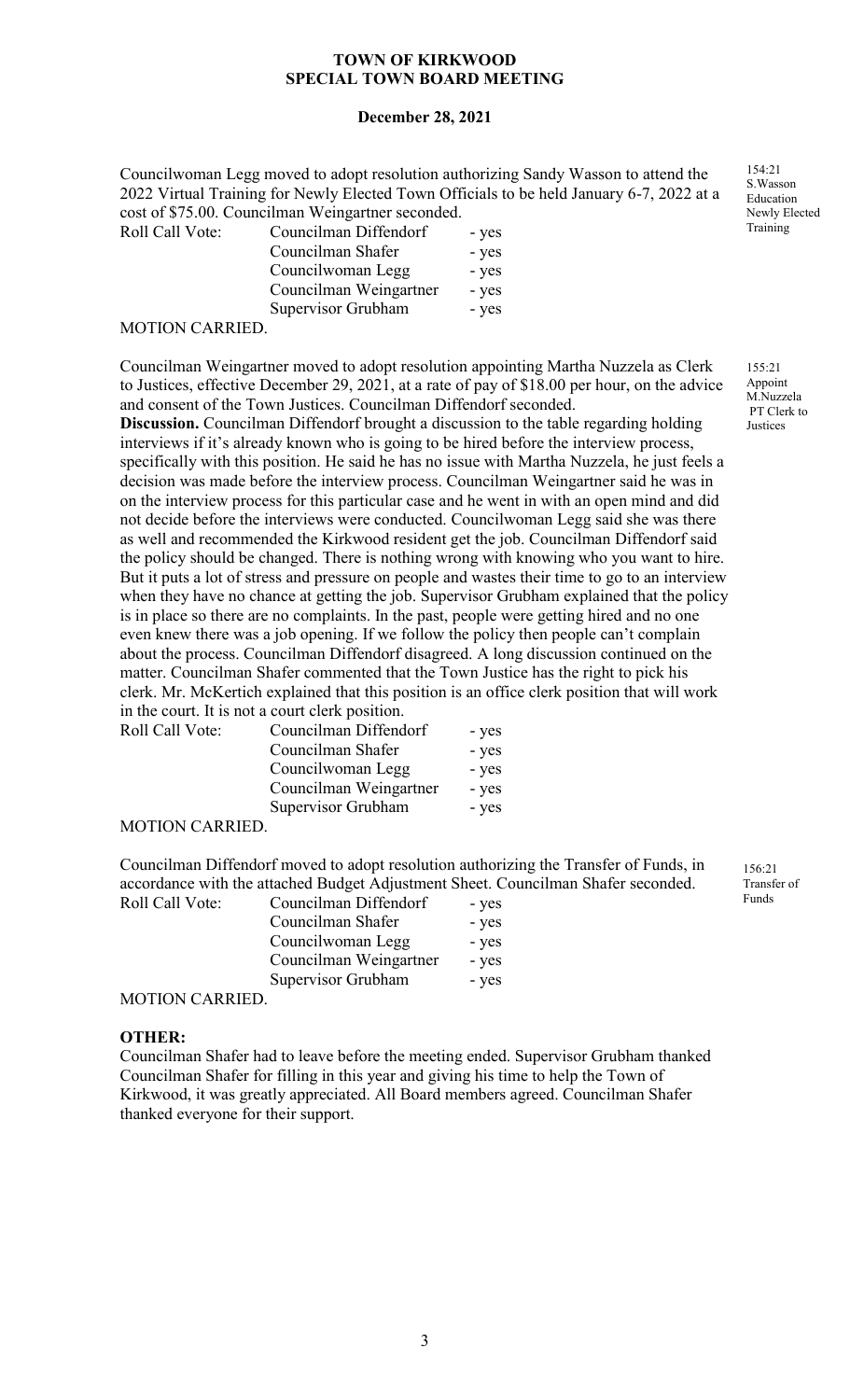#### **December 28, 2021**

Councilwoman Legg moved to adopt resolution authorizing Sandy Wasson to attend the 2022 Virtual Training for Newly Elected Town Officials to be held January 6-7, 2022 at a cost of \$75.00. Councilman Weingartner seconded.

| Roll Call Vote:                       | Councilman Diffendorf  | - yes |
|---------------------------------------|------------------------|-------|
|                                       | Councilman Shafer      | - yes |
|                                       | Councilwoman Legg      | - yes |
|                                       | Councilman Weingartner | - yes |
|                                       | Supervisor Grubham     | - yes |
| $\lambda$ (otion of $\lambda$ prices) |                        |       |

MOTION CARRIED.

Councilman Weingartner moved to adopt resolution appointing Martha Nuzzela as Clerk to Justices, effective December 29, 2021, at a rate of pay of \$18.00 per hour, on the advice and consent of the Town Justices. Councilman Diffendorf seconded.

**Discussion.** Councilman Diffendorf brought a discussion to the table regarding holding interviews if it's already known who is going to be hired before the interview process, specifically with this position. He said he has no issue with Martha Nuzzela, he just feels a decision was made before the interview process. Councilman Weingartner said he was in on the interview process for this particular case and he went in with an open mind and did not decide before the interviews were conducted. Councilwoman Legg said she was there as well and recommended the Kirkwood resident get the job. Councilman Diffendorf said the policy should be changed. There is nothing wrong with knowing who you want to hire. But it puts a lot of stress and pressure on people and wastes their time to go to an interview when they have no chance at getting the job. Supervisor Grubham explained that the policy is in place so there are no complaints. In the past, people were getting hired and no one even knew there was a job opening. If we follow the policy then people can't complain about the process. Councilman Diffendorf disagreed. A long discussion continued on the matter. Councilman Shafer commented that the Town Justice has the right to pick his clerk. Mr. McKertich explained that this position is an office clerk position that will work in the court. It is not a court clerk position.

| Roll Call Vote: | Councilman Diffendorf  | - yes |
|-----------------|------------------------|-------|
|                 | Councilman Shafer      | - yes |
|                 | Councilwoman Legg      | - yes |
|                 | Councilman Weingartner | - yes |
|                 | Supervisor Grubham     | - yes |
| MOTION CARRIED  |                        |       |

MOTION CARRIED.

Councilman Diffendorf moved to adopt resolution authorizing the Transfer of Funds, in accordance with the attached Budget Adjustment Sheet. Councilman Shafer seconded.

| Roll Call Vote:                    | Councilman Diffendorf  | - yes |
|------------------------------------|------------------------|-------|
|                                    | Councilman Shafer      | - yes |
|                                    | Councilwoman Legg      | - yes |
|                                    | Councilman Weingartner | - yes |
|                                    | Supervisor Grubham     | - yes |
| $M\cap TI\cap M\cap T\cap T\cap T$ |                        |       |

MOTION CARRIED.

#### **OTHER:**

Councilman Shafer had to leave before the meeting ended. Supervisor Grubham thanked Councilman Shafer for filling in this year and giving his time to help the Town of Kirkwood, it was greatly appreciated. All Board members agreed. Councilman Shafer thanked everyone for their support.

154:21 S.Wasson Education Newly Elected Training

155:21 Appoint M.Nuzzela PT Clerk to Justices

156:21 Transfer of Funds